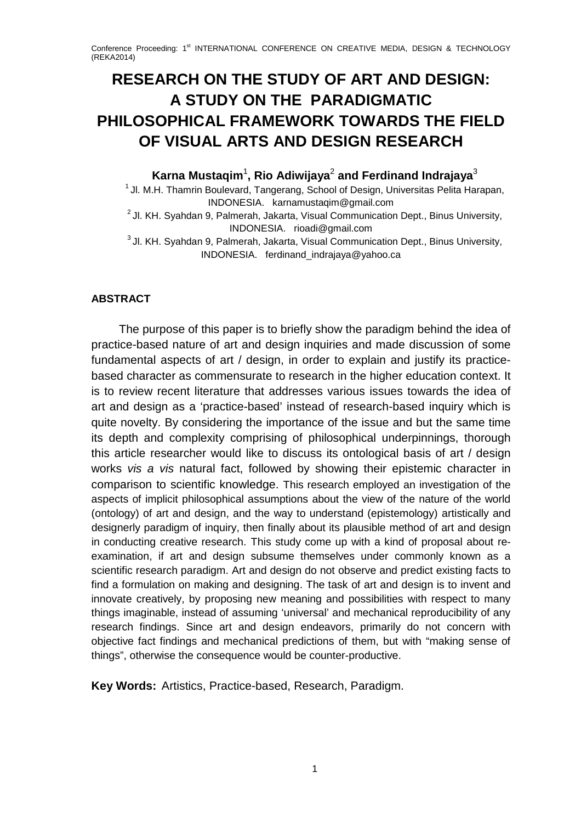# **RESEARCH ON THE STUDY OF ART AND DESIGN: A STUDY ON THE PARADIGMATIC PHILOSOPHICAL FRAMEWORK TOWARDS THE FIELD OF VISUAL ARTS AND DESIGN RESEARCH**

**Karna Mustaqim**<sup>1</sup> **, Rio Adiwijaya**<sup>2</sup> **and Ferdinand Indrajaya**<sup>3</sup>

 $1$  Jl. M.H. Thamrin Boulevard, Tangerang, School of Design, Universitas Pelita Harapan, INDONESIA. karnamustaqim@gmail.com

<sup>2</sup> Jl. KH. Syahdan 9, Palmerah, Jakarta, Visual Communication Dept., Binus University, INDONESIA. rioadi@gmail.com

 $3$  Jl. KH. Syahdan 9, Palmerah, Jakarta, Visual Communication Dept., Binus University, INDONESIA. ferdinand\_indrajaya@yahoo.ca

## **ABSTRACT**

The purpose of this paper is to briefly show the paradigm behind the idea of practice-based nature of art and design inquiries and made discussion of some fundamental aspects of art / design, in order to explain and justify its practicebased character as commensurate to research in the higher education context. It is to review recent literature that addresses various issues towards the idea of art and design as a 'practice-based' instead of research-based inquiry which is quite novelty. By considering the importance of the issue and but the same time its depth and complexity comprising of philosophical underpinnings, thorough this article researcher would like to discuss its ontological basis of art / design works *vis a vis* natural fact, followed by showing their epistemic character in comparison to scientific knowledge. This research employed an investigation of the aspects of implicit philosophical assumptions about the view of the nature of the world (ontology) of art and design, and the way to understand (epistemology) artistically and designerly paradigm of inquiry, then finally about its plausible method of art and design in conducting creative research. This study come up with a kind of proposal about reexamination, if art and design subsume themselves under commonly known as a scientific research paradigm. Art and design do not observe and predict existing facts to find a formulation on making and designing. The task of art and design is to invent and innovate creatively, by proposing new meaning and possibilities with respect to many things imaginable, instead of assuming 'universal' and mechanical reproducibility of any research findings. Since art and design endeavors, primarily do not concern with objective fact findings and mechanical predictions of them, but with "making sense of things", otherwise the consequence would be counter-productive.

**Key Words:** Artistics, Practice-based, Research, Paradigm.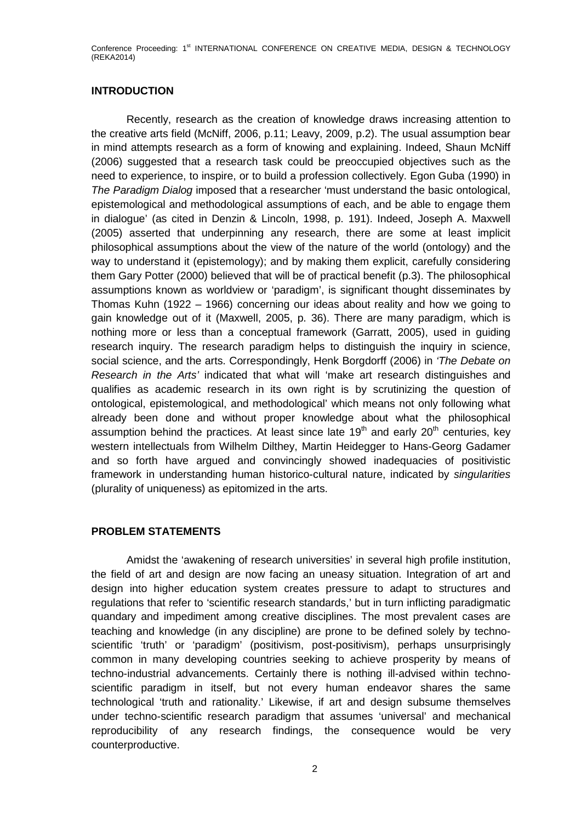## **INTRODUCTION**

Recently, research as the creation of knowledge draws increasing attention to the creative arts field (McNiff, 2006, p.11; Leavy, 2009, p.2). The usual assumption bear in mind attempts research as a form of knowing and explaining. Indeed, Shaun McNiff (2006) suggested that a research task could be preoccupied objectives such as the need to experience, to inspire, or to build a profession collectively. Egon Guba (1990) in *The Paradigm Dialog* imposed that a researcher 'must understand the basic ontological, epistemological and methodological assumptions of each, and be able to engage them in dialogue' (as cited in Denzin & Lincoln, 1998, p. 191). Indeed, Joseph A. Maxwell (2005) asserted that underpinning any research, there are some at least implicit philosophical assumptions about the view of the nature of the world (ontology) and the way to understand it (epistemology); and by making them explicit, carefully considering them Gary Potter (2000) believed that will be of practical benefit (p.3). The philosophical assumptions known as worldview or 'paradigm', is significant thought disseminates by Thomas Kuhn (1922 – 1966) concerning our ideas about reality and how we going to gain knowledge out of it (Maxwell, 2005, p. 36). There are many paradigm, which is nothing more or less than a conceptual framework (Garratt, 2005), used in guiding research inquiry. The research paradigm helps to distinguish the inquiry in science, social science, and the arts. Correspondingly, Henk Borgdorff (2006) in *'The Debate on Research in the Arts'* indicated that what will 'make art research distinguishes and qualifies as academic research in its own right is by scrutinizing the question of ontological, epistemological, and methodological' which means not only following what already been done and without proper knowledge about what the philosophical assumption behind the practices. At least since late  $19<sup>th</sup>$  and early  $20<sup>th</sup>$  centuries, key western intellectuals from Wilhelm Dilthey, Martin Heidegger to Hans-Georg Gadamer and so forth have argued and convincingly showed inadequacies of positivistic framework in understanding human historico-cultural nature, indicated by *singularities* (plurality of uniqueness) as epitomized in the arts.

## **PROBLEM STATEMENTS**

Amidst the 'awakening of research universities' in several high profile institution, the field of art and design are now facing an uneasy situation. Integration of art and design into higher education system creates pressure to adapt to structures and regulations that refer to 'scientific research standards,' but in turn inflicting paradigmatic quandary and impediment among creative disciplines. The most prevalent cases are teaching and knowledge (in any discipline) are prone to be defined solely by technoscientific 'truth' or 'paradigm' (positivism, post-positivism), perhaps unsurprisingly common in many developing countries seeking to achieve prosperity by means of techno-industrial advancements. Certainly there is nothing ill-advised within technoscientific paradigm in itself, but not every human endeavor shares the same technological 'truth and rationality.' Likewise, if art and design subsume themselves under techno-scientific research paradigm that assumes 'universal' and mechanical reproducibility of any research findings, the consequence would be very counterproductive.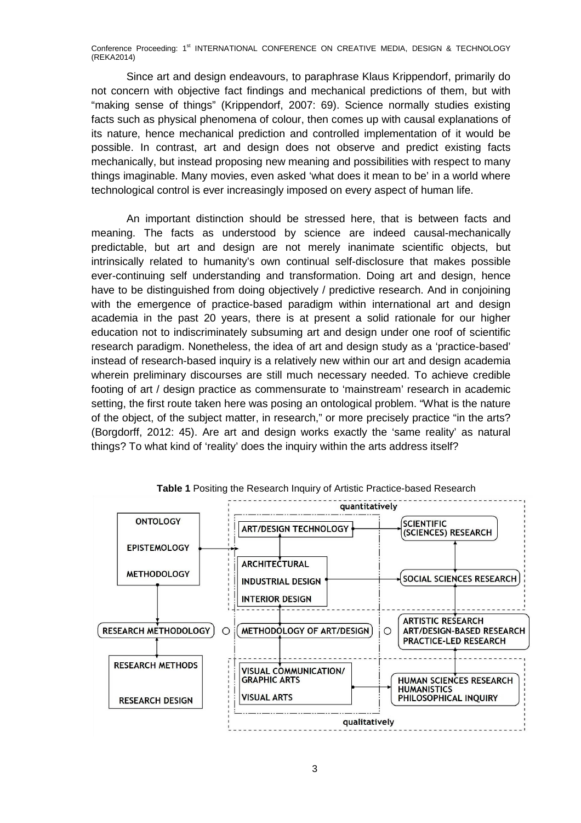Since art and design endeavours, to paraphrase Klaus Krippendorf, primarily do not concern with objective fact findings and mechanical predictions of them, but with "making sense of things" (Krippendorf, 2007: 69). Science normally studies existing facts such as physical phenomena of colour, then comes up with causal explanations of its nature, hence mechanical prediction and controlled implementation of it would be possible. In contrast, art and design does not observe and predict existing facts mechanically, but instead proposing new meaning and possibilities with respect to many things imaginable. Many movies, even asked 'what does it mean to be' in a world where technological control is ever increasingly imposed on every aspect of human life.

An important distinction should be stressed here, that is between facts and meaning. The facts as understood by science are indeed causal-mechanically predictable, but art and design are not merely inanimate scientific objects, but intrinsically related to humanity's own continual self-disclosure that makes possible ever-continuing self understanding and transformation. Doing art and design, hence have to be distinguished from doing objectively / predictive research. And in conjoining with the emergence of practice-based paradigm within international art and design academia in the past 20 years, there is at present a solid rationale for our higher education not to indiscriminately subsuming art and design under one roof of scientific research paradigm. Nonetheless, the idea of art and design study as a 'practice-based' instead of research-based inquiry is a relatively new within our art and design academia wherein preliminary discourses are still much necessary needed. To achieve credible footing of art / design practice as commensurate to 'mainstream' research in academic setting, the first route taken here was posing an ontological problem. "What is the nature of the object, of the subject matter, in research," or more precisely practice "in the arts? (Borgdorff, 2012: 45). Are art and design works exactly the 'same reality' as natural things? To what kind of 'reality' does the inquiry within the arts address itself?



**Table 1** Positing the Research Inquiry of Artistic Practice-based Research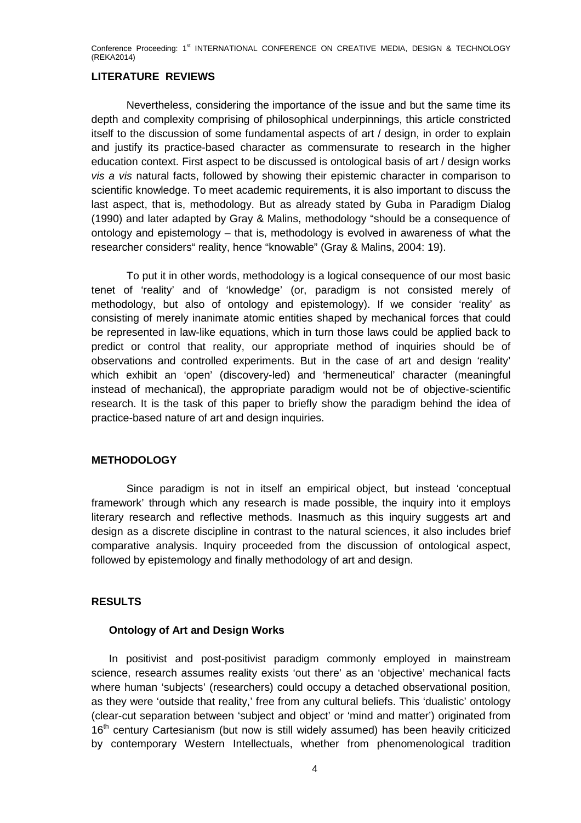### **LITERATURE REVIEWS**

Nevertheless, considering the importance of the issue and but the same time its depth and complexity comprising of philosophical underpinnings, this article constricted itself to the discussion of some fundamental aspects of art / design, in order to explain and justify its practice-based character as commensurate to research in the higher education context. First aspect to be discussed is ontological basis of art / design works *vis a vis* natural facts, followed by showing their epistemic character in comparison to scientific knowledge. To meet academic requirements, it is also important to discuss the last aspect, that is, methodology. But as already stated by Guba in Paradigm Dialog (1990) and later adapted by Gray & Malins, methodology "should be a consequence of ontology and epistemology – that is, methodology is evolved in awareness of what the researcher considers" reality, hence "knowable" (Gray & Malins, 2004: 19).

To put it in other words, methodology is a logical consequence of our most basic tenet of 'reality' and of 'knowledge' (or, paradigm is not consisted merely of methodology, but also of ontology and epistemology). If we consider 'reality' as consisting of merely inanimate atomic entities shaped by mechanical forces that could be represented in law-like equations, which in turn those laws could be applied back to predict or control that reality, our appropriate method of inquiries should be of observations and controlled experiments. But in the case of art and design 'reality' which exhibit an 'open' (discovery-led) and 'hermeneutical' character (meaningful instead of mechanical), the appropriate paradigm would not be of objective-scientific research. It is the task of this paper to briefly show the paradigm behind the idea of practice-based nature of art and design inquiries.

#### **METHODOLOGY**

Since paradigm is not in itself an empirical object, but instead 'conceptual framework' through which any research is made possible, the inquiry into it employs literary research and reflective methods. Inasmuch as this inquiry suggests art and design as a discrete discipline in contrast to the natural sciences, it also includes brief comparative analysis. Inquiry proceeded from the discussion of ontological aspect, followed by epistemology and finally methodology of art and design.

#### **RESULTS**

#### **Ontology of Art and Design Works**

In positivist and post-positivist paradigm commonly employed in mainstream science, research assumes reality exists 'out there' as an 'objective' mechanical facts where human 'subjects' (researchers) could occupy a detached observational position, as they were 'outside that reality,' free from any cultural beliefs. This 'dualistic' ontology (clear-cut separation between 'subject and object' or 'mind and matter') originated from 16<sup>th</sup> century Cartesianism (but now is still widely assumed) has been heavily criticized by contemporary Western Intellectuals, whether from phenomenological tradition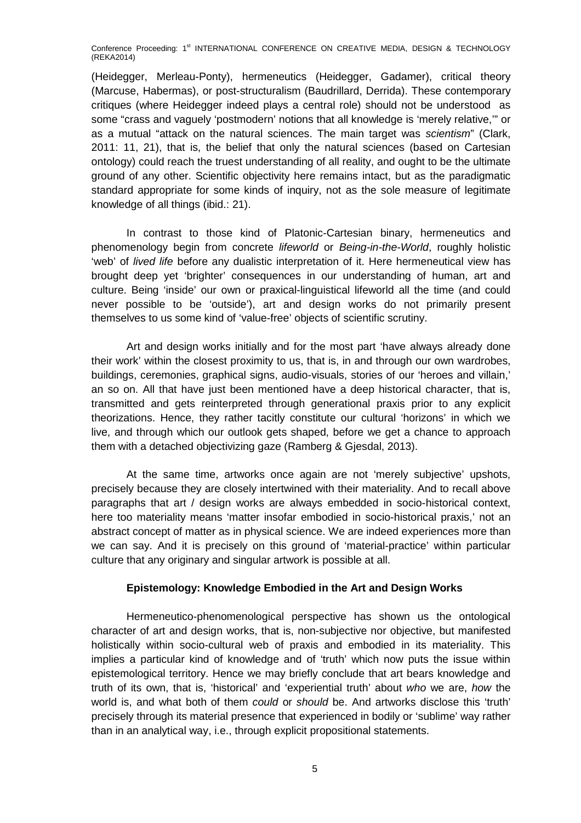(Heidegger, Merleau-Ponty), hermeneutics (Heidegger, Gadamer), critical theory (Marcuse, Habermas), or post-structuralism (Baudrillard, Derrida). These contemporary critiques (where Heidegger indeed plays a central role) should not be understood as some "crass and vaguely 'postmodern' notions that all knowledge is 'merely relative,'" or as a mutual "attack on the natural sciences. The main target was *scientism*" (Clark, 2011: 11, 21), that is, the belief that only the natural sciences (based on Cartesian ontology) could reach the truest understanding of all reality, and ought to be the ultimate ground of any other. Scientific objectivity here remains intact, but as the paradigmatic standard appropriate for some kinds of inquiry, not as the sole measure of legitimate knowledge of all things (ibid.: 21).

In contrast to those kind of Platonic-Cartesian binary, hermeneutics and phenomenology begin from concrete *lifeworld* or *Being-in-the-World*, roughly holistic 'web' of *lived life* before any dualistic interpretation of it. Here hermeneutical view has brought deep yet 'brighter' consequences in our understanding of human, art and culture. Being 'inside' our own or praxical-linguistical lifeworld all the time (and could never possible to be 'outside'), art and design works do not primarily present themselves to us some kind of 'value-free' objects of scientific scrutiny.

Art and design works initially and for the most part 'have always already done their work' within the closest proximity to us, that is, in and through our own wardrobes, buildings, ceremonies, graphical signs, audio-visuals, stories of our 'heroes and villain,' an so on. All that have just been mentioned have a deep historical character, that is, transmitted and gets reinterpreted through generational praxis prior to any explicit theorizations. Hence, they rather tacitly constitute our cultural 'horizons' in which we live, and through which our outlook gets shaped, before we get a chance to approach them with a detached objectivizing gaze (Ramberg & Gjesdal, 2013).

At the same time, artworks once again are not 'merely subjective' upshots, precisely because they are closely intertwined with their materiality. And to recall above paragraphs that art / design works are always embedded in socio-historical context, here too materiality means 'matter insofar embodied in socio-historical praxis,' not an abstract concept of matter as in physical science. We are indeed experiences more than we can say. And it is precisely on this ground of 'material-practice' within particular culture that any originary and singular artwork is possible at all.

#### **Epistemology: Knowledge Embodied in the Art and Design Works**

Hermeneutico-phenomenological perspective has shown us the ontological character of art and design works, that is, non-subjective nor objective, but manifested holistically within socio-cultural web of praxis and embodied in its materiality. This implies a particular kind of knowledge and of 'truth' which now puts the issue within epistemological territory. Hence we may briefly conclude that art bears knowledge and truth of its own, that is, 'historical' and 'experiential truth' about *who* we are, *how* the world is, and what both of them *could* or *should* be. And artworks disclose this 'truth' precisely through its material presence that experienced in bodily or 'sublime' way rather than in an analytical way, i.e., through explicit propositional statements.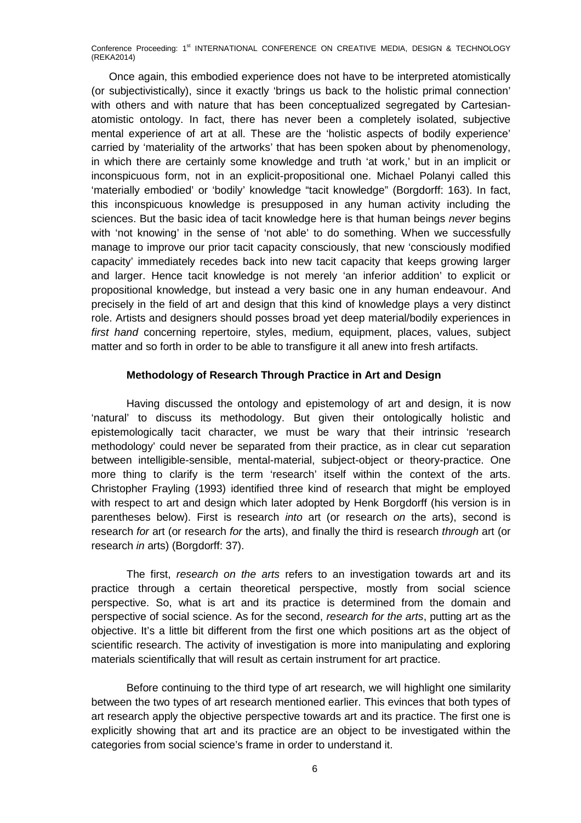Once again, this embodied experience does not have to be interpreted atomistically (or subjectivistically), since it exactly 'brings us back to the holistic primal connection' with others and with nature that has been conceptualized segregated by Cartesianatomistic ontology. In fact, there has never been a completely isolated, subjective mental experience of art at all. These are the 'holistic aspects of bodily experience' carried by 'materiality of the artworks' that has been spoken about by phenomenology, in which there are certainly some knowledge and truth 'at work,' but in an implicit or inconspicuous form, not in an explicit-propositional one. Michael Polanyi called this 'materially embodied' or 'bodily' knowledge "tacit knowledge" (Borgdorff: 163). In fact, this inconspicuous knowledge is presupposed in any human activity including the sciences. But the basic idea of tacit knowledge here is that human beings *never* begins with 'not knowing' in the sense of 'not able' to do something. When we successfully manage to improve our prior tacit capacity consciously, that new 'consciously modified capacity' immediately recedes back into new tacit capacity that keeps growing larger and larger. Hence tacit knowledge is not merely 'an inferior addition' to explicit or propositional knowledge, but instead a very basic one in any human endeavour. And precisely in the field of art and design that this kind of knowledge plays a very distinct role. Artists and designers should posses broad yet deep material/bodily experiences in *first hand* concerning repertoire, styles, medium, equipment, places, values, subject matter and so forth in order to be able to transfigure it all anew into fresh artifacts.

#### **Methodology of Research Through Practice in Art and Design**

Having discussed the ontology and epistemology of art and design, it is now 'natural' to discuss its methodology. But given their ontologically holistic and epistemologically tacit character, we must be wary that their intrinsic 'research methodology' could never be separated from their practice, as in clear cut separation between intelligible-sensible, mental-material, subject-object or theory-practice. One more thing to clarify is the term 'research' itself within the context of the arts. Christopher Frayling (1993) identified three kind of research that might be employed with respect to art and design which later adopted by Henk Borgdorff (his version is in parentheses below). First is research *into* art (or research *on* the arts), second is research *for* art (or research *for* the arts), and finally the third is research *through* art (or research *in* arts) (Borgdorff: 37).

The first, *research on the arts* refers to an investigation towards art and its practice through a certain theoretical perspective, mostly from social science perspective. So, what is art and its practice is determined from the domain and perspective of social science. As for the second, *research for the arts*, putting art as the objective. It's a little bit different from the first one which positions art as the object of scientific research. The activity of investigation is more into manipulating and exploring materials scientifically that will result as certain instrument for art practice.

Before continuing to the third type of art research, we will highlight one similarity between the two types of art research mentioned earlier. This evinces that both types of art research apply the objective perspective towards art and its practice. The first one is explicitly showing that art and its practice are an object to be investigated within the categories from social science's frame in order to understand it.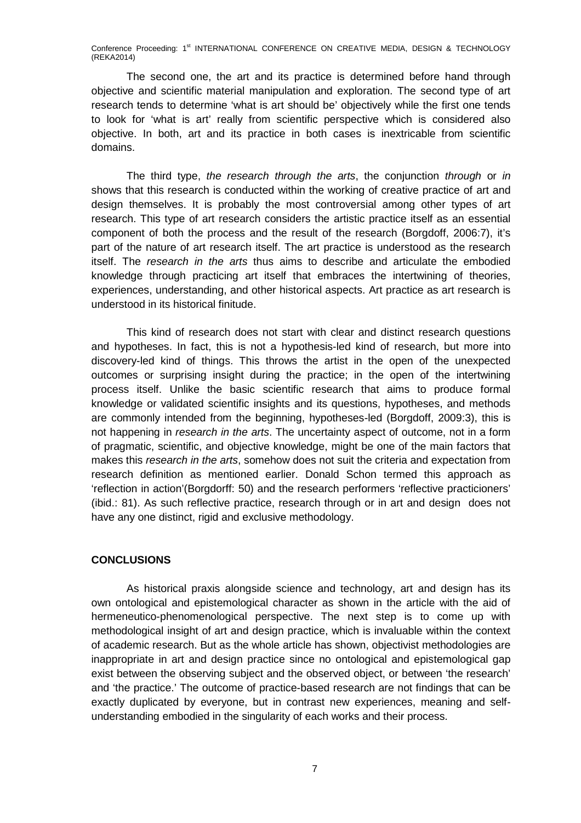The second one, the art and its practice is determined before hand through objective and scientific material manipulation and exploration. The second type of art research tends to determine 'what is art should be' objectively while the first one tends to look for 'what is art' really from scientific perspective which is considered also objective. In both, art and its practice in both cases is inextricable from scientific domains.

The third type, *the research through the arts*, the conjunction *through* or *in* shows that this research is conducted within the working of creative practice of art and design themselves. It is probably the most controversial among other types of art research. This type of art research considers the artistic practice itself as an essential component of both the process and the result of the research (Borgdoff, 2006:7), it's part of the nature of art research itself. The art practice is understood as the research itself. The *research in the arts* thus aims to describe and articulate the embodied knowledge through practicing art itself that embraces the intertwining of theories, experiences, understanding, and other historical aspects. Art practice as art research is understood in its historical finitude.

This kind of research does not start with clear and distinct research questions and hypotheses. In fact, this is not a hypothesis-led kind of research, but more into discovery-led kind of things. This throws the artist in the open of the unexpected outcomes or surprising insight during the practice; in the open of the intertwining process itself. Unlike the basic scientific research that aims to produce formal knowledge or validated scientific insights and its questions, hypotheses, and methods are commonly intended from the beginning, hypotheses-led (Borgdoff, 2009:3), this is not happening in *research in the arts*. The uncertainty aspect of outcome, not in a form of pragmatic, scientific, and objective knowledge, might be one of the main factors that makes this *research in the arts*, somehow does not suit the criteria and expectation from research definition as mentioned earlier. Donald Schon termed this approach as 'reflection in action'(Borgdorff: 50) and the research performers 'reflective practicioners' (ibid.: 81). As such reflective practice, research through or in art and design does not have any one distinct, rigid and exclusive methodology.

#### **CONCLUSIONS**

As historical praxis alongside science and technology, art and design has its own ontological and epistemological character as shown in the article with the aid of hermeneutico-phenomenological perspective. The next step is to come up with methodological insight of art and design practice, which is invaluable within the context of academic research. But as the whole article has shown, objectivist methodologies are inappropriate in art and design practice since no ontological and epistemological gap exist between the observing subject and the observed object, or between 'the research' and 'the practice.' The outcome of practice-based research are not findings that can be exactly duplicated by everyone, but in contrast new experiences, meaning and selfunderstanding embodied in the singularity of each works and their process.